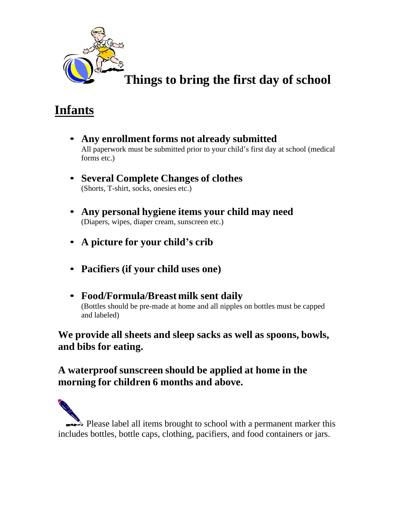

## **Things to bring the first day of school**

## **Infants**

- **Any enrollment forms not already submitted** All paperwork must be submitted prior to your child's first day at school (medical forms etc.)
- **Several Complete Changes of clothes** (Shorts, T-shirt, socks, onesies etc.)
- **Any personal hygiene items your child may need** (Diapers, wipes, diaper cream, sunscreen etc.)
- **A picture for your child's crib**
- **Pacifiers (if your child uses one)**
- **Food/Formula/Breast milk sent daily** (Bottles should be pre-made at home and all nipples on bottles must be capped and labeled)

**We provide all sheets and sleep sacks as well as spoons, bowls, and bibs for eating.**

#### **A waterproof sunscreen should be applied at home in the morning for children 6 months and above.**

 $\blacktriangleright$  Please label all items brought to school with a permanent marker this includes bottles, bottle caps, clothing, pacifiers, and food containers or jars.